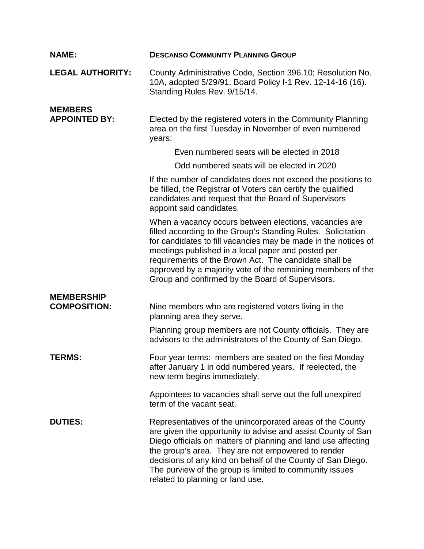| <b>NAME:</b>                             | <b>DESCANSO COMMUNITY PLANNING GROUP</b>                                                                                                                                                                                                                                                                                                                                                                                   |
|------------------------------------------|----------------------------------------------------------------------------------------------------------------------------------------------------------------------------------------------------------------------------------------------------------------------------------------------------------------------------------------------------------------------------------------------------------------------------|
| <b>LEGAL AUTHORITY:</b>                  | County Administrative Code, Section 396.10; Resolution No.<br>10A, adopted 5/29/91. Board Policy I-1 Rev. 12-14-16 (16).<br>Standing Rules Rev. 9/15/14.                                                                                                                                                                                                                                                                   |
| <b>MEMBERS</b><br><b>APPOINTED BY:</b>   | Elected by the registered voters in the Community Planning<br>area on the first Tuesday in November of even numbered<br>years:                                                                                                                                                                                                                                                                                             |
|                                          | Even numbered seats will be elected in 2018                                                                                                                                                                                                                                                                                                                                                                                |
|                                          | Odd numbered seats will be elected in 2020                                                                                                                                                                                                                                                                                                                                                                                 |
|                                          | If the number of candidates does not exceed the positions to<br>be filled, the Registrar of Voters can certify the qualified<br>candidates and request that the Board of Supervisors<br>appoint said candidates.                                                                                                                                                                                                           |
|                                          | When a vacancy occurs between elections, vacancies are<br>filled according to the Group's Standing Rules. Solicitation<br>for candidates to fill vacancies may be made in the notices of<br>meetings published in a local paper and posted per<br>requirements of the Brown Act. The candidate shall be<br>approved by a majority vote of the remaining members of the<br>Group and confirmed by the Board of Supervisors. |
| <b>MEMBERSHIP</b><br><b>COMPOSITION:</b> | Nine members who are registered voters living in the<br>planning area they serve.                                                                                                                                                                                                                                                                                                                                          |
|                                          | Planning group members are not County officials. They are<br>advisors to the administrators of the County of San Diego.                                                                                                                                                                                                                                                                                                    |
| <b>TERMS:</b>                            | Four year terms: members are seated on the first Monday<br>after January 1 in odd numbered years. If reelected, the<br>new term begins immediately.                                                                                                                                                                                                                                                                        |
|                                          | Appointees to vacancies shall serve out the full unexpired<br>term of the vacant seat.                                                                                                                                                                                                                                                                                                                                     |
| <b>DUTIES:</b>                           | Representatives of the unincorporated areas of the County<br>are given the opportunity to advise and assist County of San<br>Diego officials on matters of planning and land use affecting<br>the group's area. They are not empowered to render<br>decisions of any kind on behalf of the County of San Diego.<br>The purview of the group is limited to community issues<br>related to planning or land use.             |